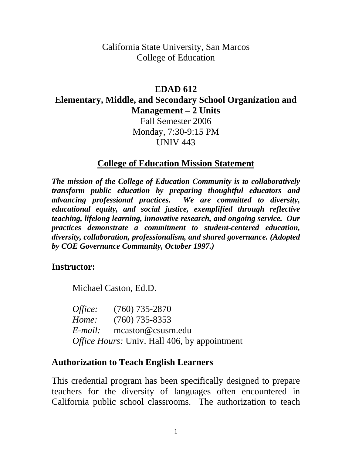#### California State University, San Marcos College of Education

### **EDAD 612**

#### **Elementary, Middle, and Secondary School Organization and Management – 2 Units**

Fall Semester 2006 Monday, 7:30-9:15 PM UNIV 443

#### **College of Education Mission Statement**

*The mission of the College of Education Community is to collaboratively transform public education by preparing thoughtful educators and advancing professional practices. We are committed to diversity, educational equity, and social justice, exemplified through reflective teaching, lifelong learning, innovative research, and ongoing service. Our practices demonstrate a commitment to student-centered education, diversity, collaboration, professionalism, and shared governance. (Adopted by COE Governance Community, October 1997.)* 

#### **Instructor:**

Michael Caston, Ed.D.

*Office:* (760) 735-2870 *Home:* (760) 735-8353 *E-mail:* mcaston@csusm.edu *Office Hours:* Univ. Hall 406, by appointment

#### **Authorization to Teach English Learners**

This credential program has been specifically designed to prepare teachers for the diversity of languages often encountered in California public school classrooms. The authorization to teach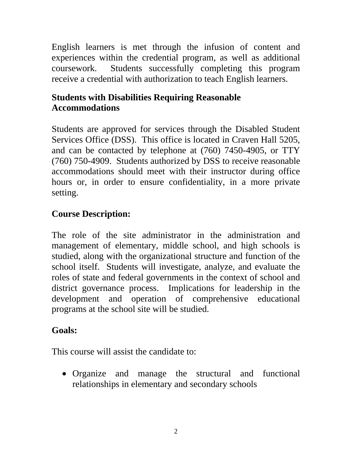English learners is met through the infusion of content and experiences within the credential program, as well as additional coursework. Students successfully completing this program receive a credential with authorization to teach English learners.

# **Students with Disabilities Requiring Reasonable Accommodations**

Students are approved for services through the Disabled Student Services Office (DSS). This office is located in Craven Hall 5205, and can be contacted by telephone at (760) 7450-4905, or TTY (760) 750-4909. Students authorized by DSS to receive reasonable accommodations should meet with their instructor during office hours or, in order to ensure confidentiality, in a more private setting.

## **Course Description:**

The role of the site administrator in the administration and management of elementary, middle school, and high schools is studied, along with the organizational structure and function of the school itself. Students will investigate, analyze, and evaluate the roles of state and federal governments in the context of school and district governance process. Implications for leadership in the development and operation of comprehensive educational programs at the school site will be studied.

### **Goals:**

This course will assist the candidate to:

• Organize and manage the structural and functional relationships in elementary and secondary schools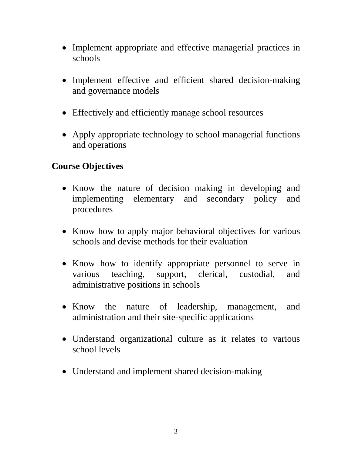- Implement appropriate and effective managerial practices in schools
- Implement effective and efficient shared decision-making and governance models
- Effectively and efficiently manage school resources
- Apply appropriate technology to school managerial functions and operations

### **Course Objectives**

- Know the nature of decision making in developing and implementing elementary and secondary policy and procedures
- Know how to apply major behavioral objectives for various schools and devise methods for their evaluation
- Know how to identify appropriate personnel to serve in various teaching, support, clerical, custodial, and administrative positions in schools
- Know the nature of leadership, management, and administration and their site-specific applications
- Understand organizational culture as it relates to various school levels
- Understand and implement shared decision-making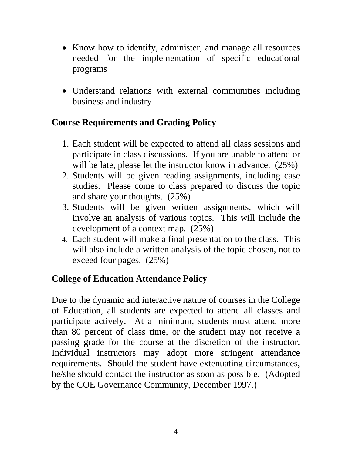- Know how to identify, administer, and manage all resources needed for the implementation of specific educational programs
- Understand relations with external communities including business and industry

## **Course Requirements and Grading Policy**

- 1. Each student will be expected to attend all class sessions and participate in class discussions. If you are unable to attend or will be late, please let the instructor know in advance.  $(25%)$
- 2. Students will be given reading assignments, including case studies. Please come to class prepared to discuss the topic and share your thoughts. (25%)
- 3. Students will be given written assignments, which will involve an analysis of various topics. This will include the development of a context map. (25%)
- 4. Each student will make a final presentation to the class. This will also include a written analysis of the topic chosen, not to exceed four pages. (25%)

# **College of Education Attendance Policy**

Due to the dynamic and interactive nature of courses in the College of Education, all students are expected to attend all classes and participate actively. At a minimum, students must attend more than 80 percent of class time, or the student may not receive a passing grade for the course at the discretion of the instructor. Individual instructors may adopt more stringent attendance requirements. Should the student have extenuating circumstances, he/she should contact the instructor as soon as possible. (Adopted by the COE Governance Community, December 1997.)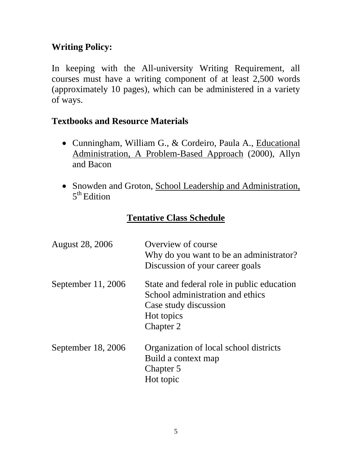# **Writing Policy:**

In keeping with the All-university Writing Requirement, all courses must have a writing component of at least 2,500 words (approximately 10 pages), which can be administered in a variety of ways.

## **Textbooks and Resource Materials**

- Cunningham, William G., & Cordeiro, Paula A., Educational Administration, A Problem-Based Approach (2000), Allyn and Bacon
- Snowden and Groton, School Leadership and Administration,  $5<sup>th</sup>$  Edition

# **Tentative Class Schedule**

| <b>August 28, 2006</b> | Overview of course<br>Why do you want to be an administrator?<br>Discussion of your career goals                                   |
|------------------------|------------------------------------------------------------------------------------------------------------------------------------|
| September 11, 2006     | State and federal role in public education<br>School administration and ethics<br>Case study discussion<br>Hot topics<br>Chapter 2 |
| September 18, 2006     | Organization of local school districts<br>Build a context map<br>Chapter 5<br>Hot topic                                            |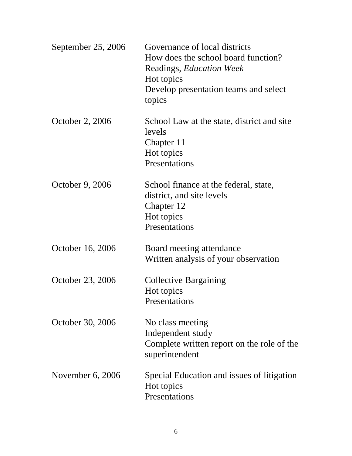| September 25, 2006 | Governance of local districts<br>How does the school board function?<br>Readings, <i>Education Week</i><br>Hot topics<br>Develop presentation teams and select<br>topics |
|--------------------|--------------------------------------------------------------------------------------------------------------------------------------------------------------------------|
| October 2, 2006    | School Law at the state, district and site<br>levels<br>Chapter 11<br>Hot topics<br>Presentations                                                                        |
| October 9, 2006    | School finance at the federal, state,<br>district, and site levels<br>Chapter 12<br>Hot topics<br>Presentations                                                          |
| October 16, 2006   | Board meeting attendance<br>Written analysis of your observation                                                                                                         |
| October 23, 2006   | <b>Collective Bargaining</b><br>Hot topics<br>Presentations                                                                                                              |
| October 30, 2006   | No class meeting<br>Independent study<br>Complete written report on the role of the<br>superintendent                                                                    |
| November $6, 2006$ | Special Education and issues of litigation<br>Hot topics<br>Presentations                                                                                                |